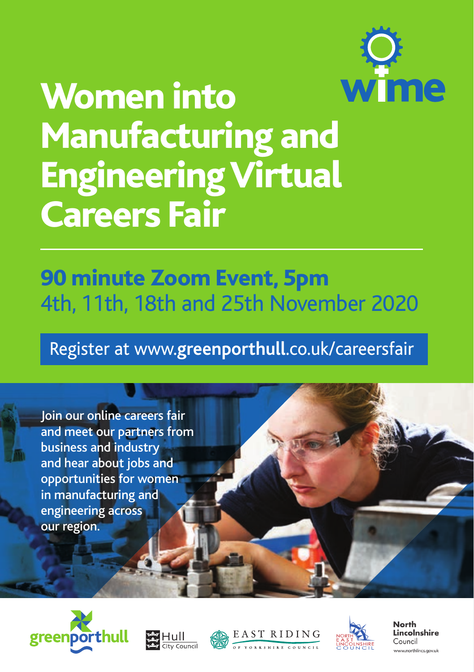

# Women into Manufacturing and Engineering Virtual Careers Fair

## 90 minute Zoom Event, 5pm 4th, 11th, 18th and 25th November 2020

## Register at www.**greenporthull**.co.uk/careersfair

Join our online careers fair and meet our partners from business and industry and hear about jobs and opportunities for women in manufacturing and engineering across our region.









**North** Lincolnshire Council ww.northlincs.aov.uk